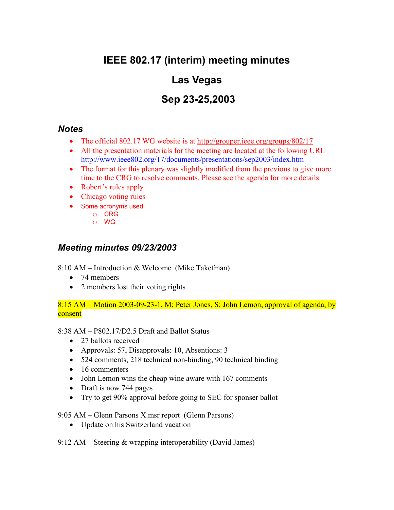# **IEEE 802.17 (interim) meeting minutes**

## **Las Vegas**

## **Sep 23-25,2003**

#### *Notes*

- The official 802.17 WG website is at http://grouper.ieee.org/groups/802/17
- All the presentation materials for the meeting are located at the following URL http://www.ieee802.org/17/documents/presentations/sep2003/index.htm
- The format for this plenary was slightly modified from the previous to give more time to the CRG to resolve comments. Please see the agenda for more details.
- Robert's rules apply
- Chicago voting rules
- Some acronyms used
	- o CRG
	- o WG

### *Meeting minutes 09/23/2003*

8:10 AM – Introduction & Welcome (Mike Takefman)

- 74 members
- 2 members lost their voting rights

8:15 AM – Motion 2003-09-23-1, M: Peter Jones, S: John Lemon, approval of agenda, by consent

8:38 AM – P802.17/D2.5 Draft and Ballot Status

- 27 ballots received
- Approvals: 57, Disapprovals: 10, Absentions: 3
- 524 comments, 218 technical non-binding, 90 technical binding
- 16 commenters
- John Lemon wins the cheap wine aware with 167 comments
- Draft is now 744 pages
- Try to get 90% approval before going to SEC for sponser ballot

9:05 AM – Glenn Parsons X.msr report (Glenn Parsons)

• Update on his Switzerland vacation

9:12 AM – Steering & wrapping interoperability (David James)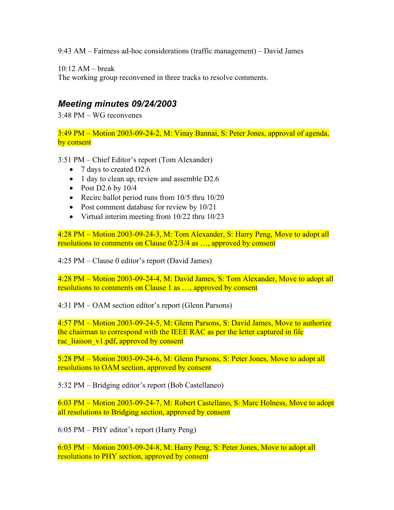9:43 AM – Fairness ad-hoc considerations (traffic management) – David James

10:12 AM – break

The working group reconvened in three tracks to resolve comments.

### *Meeting minutes 09/24/2003*

3:48 PM – WG reconvenes

3:49 PM – Motion 2003-09-24-2, M: Vinay Bannai, S: Peter Jones, approval of agenda, by consent

3:51 PM – Chief Editor's report (Tom Alexander)

- 7 days to created D2.6
- 1 day to clean up, review and assemble D2.6
- Post D2.6 by  $10/4$
- Recirc ballot period runs from 10/5 thru 10/20
- Post comment database for review by 10/21
- Virtual interim meeting from 10/22 thru 10/23

4:28 PM – Motion 2003-09-24-3, M: Tom Alexander, S: Harry Peng, Move to adopt all resolutions to comments on Clause 0/2/3/4 as …, approved by consent

4:25 PM – Clause 0 editor's report (David James)

4:28 PM – Motion 2003-09-24-4, M: David James, S: Tom Alexander, Move to adopt all resolutions to comments on Clause 1 as ..., approved by consent

4:31 PM – OAM section editor's report (Glenn Parsons)

4:57 PM – Motion 2003-09-24-5, M: Glenn Parsons, S: David James, Move to authorize the chairman to correspond with the IEEE RAC as per the letter captured in file rac\_liaison\_v1.pdf, approved by consent

5:28 PM – Motion 2003-09-24-6, M: Glenn Parsons, S: Peter Jones, Move to adopt all resolutions to OAM section, approved by consent

5:32 PM – Bridging editor's report (Bob Castellaneo)

6:03 PM – Motion 2003-09-24-7, M: Robert Castellano, S: Marc Holness, Move to adopt all resolutions to Bridging section, approved by consent

6:05 PM – PHY editor's report (Harry Peng)

6:03 PM – Motion 2003-09-24-8, M: Harry Peng, S: Peter Jones, Move to adopt all resolutions to PHY section, approved by consent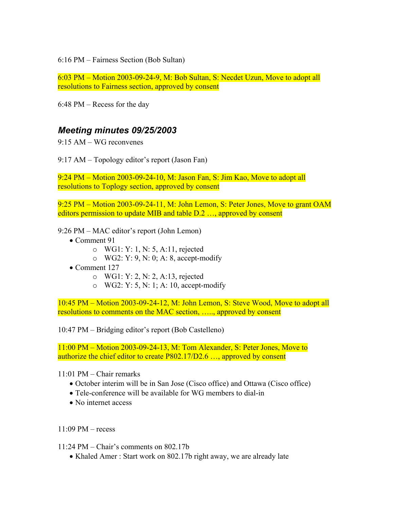6:16 PM – Fairness Section (Bob Sultan)

6:03 PM – Motion 2003-09-24-9, M: Bob Sultan, S: Necdet Uzun, Move to adopt all resolutions to Fairness section, approved by consent

6:48 PM – Recess for the day

#### *Meeting minutes 09/25/2003*

9:15 AM – WG reconvenes

9:17 AM – Topology editor's report (Jason Fan)

9:24 PM – Motion 2003-09-24-10, M: Jason Fan, S: Jim Kao, Move to adopt all resolutions to Toplogy section, approved by consent

9:25 PM – Motion 2003-09-24-11, M: John Lemon, S: Peter Jones, Move to grant OAM editors permission to update MIB and table D.2 ..., approved by consent

9:26 PM – MAC editor's report (John Lemon)

- Comment 91
	- o WG1: Y: 1, N: 5, A:11, rejected
	- o WG2: Y: 9, N: 0; A: 8, accept-modify
- Comment 127
	- o WG1: Y: 2, N: 2, A:13, rejected
	- o WG2: Y: 5, N: 1; A: 10, accept-modify

10:45 PM – Motion 2003-09-24-12, M: John Lemon, S: Steve Wood, Move to adopt all resolutions to comments on the MAC section, ....., approved by consent

10:47 PM – Bridging editor's report (Bob Castelleno)

11:00 PM – Motion 2003-09-24-13, M: Tom Alexander, S: Peter Jones, Move to authorize the chief editor to create P802.17/D2.6 …, approved by consent

11:01 PM – Chair remarks

- October interim will be in San Jose (Cisco office) and Ottawa (Cisco office)
- Tele-conference will be available for WG members to dial-in
- No internet access

11:09 PM – recess

11:24 PM – Chair's comments on 802.17b

• Khaled Amer : Start work on 802.17b right away, we are already late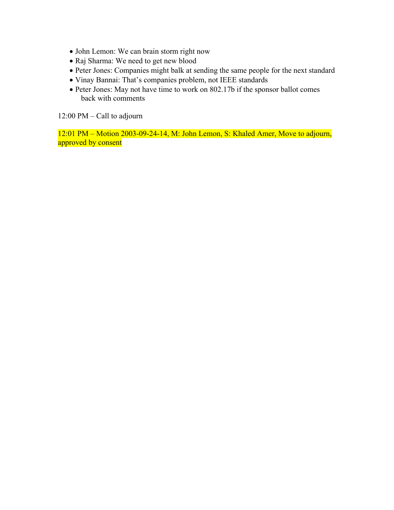- John Lemon: We can brain storm right now
- Raj Sharma: We need to get new blood
- Peter Jones: Companies might balk at sending the same people for the next standard
- Vinay Bannai: That's companies problem, not IEEE standards
- Peter Jones: May not have time to work on 802.17b if the sponsor ballot comes back with comments

12:00 PM – Call to adjourn

12:01 PM – Motion 2003-09-24-14, M: John Lemon, S: Khaled Amer, Move to adjourn, approved by consent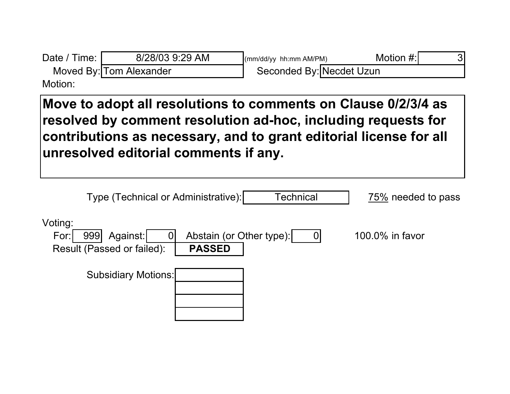| Date / Time:   | 8/28/03 9:29 AM         | (mm/dd/yy hh:mm AM/PM)   | Motion #: |  |
|----------------|-------------------------|--------------------------|-----------|--|
|                | Moved By: Tom Alexander | Seconded By: Necdet Uzun |           |  |
| M <sub>0</sub> |                         |                          |           |  |

Motion:

**Move to adopt all resolutions to comments on Clause 0/2/3/4 as resolved by comment resolution ad-hoc, including requests for contributions as necessary, and to grant editorial license for all unresolved editorial comments if any.**

| Type (Technical or Administrative):                                   | <b>Technical</b>                          | 75% needed to pass   |
|-----------------------------------------------------------------------|-------------------------------------------|----------------------|
| Voting:<br>Against:<br>For:<br>999<br>U<br>Result (Passed or failed): | Abstain (or Other type):<br><b>PASSED</b> | 100.0% in favor<br>U |
| <b>Subsidiary Motions:</b>                                            |                                           |                      |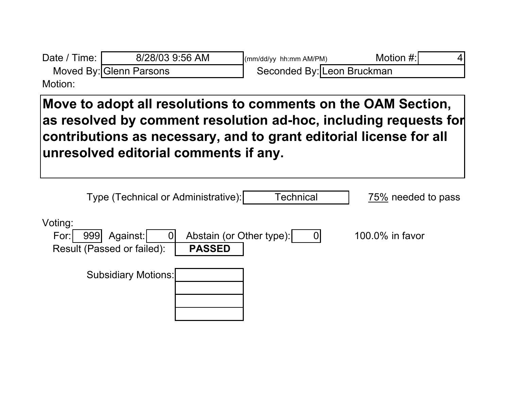| Date / Time: I          | 8/28/03 9:56 AM | $\frac{1}{2}$ (mm/dd/yy hh:mm AM/PM) | Motion #:I |  |
|-------------------------|-----------------|--------------------------------------|------------|--|
| Moved By: Glenn Parsons |                 | Seconded By: Leon Bruckman           |            |  |
| Motion:                 |                 |                                      |            |  |

**Move to adopt all resolutions to comments on the OAM Section, as resolved by comment resolution ad-hoc, including requests for contributions as necessary, and to grant editorial license for all unresolved editorial comments if any.**

|                 | Type (Technical or Administrative):           |                                           | <b>Technical</b> | 75% needed to pass |
|-----------------|-----------------------------------------------|-------------------------------------------|------------------|--------------------|
| Voting:<br>For: | Against:<br>999<br>Result (Passed or failed): | Abstain (or Other type):<br><b>PASSED</b> |                  | 100.0% in favor    |
|                 | <b>Subsidiary Motions:</b>                    |                                           |                  |                    |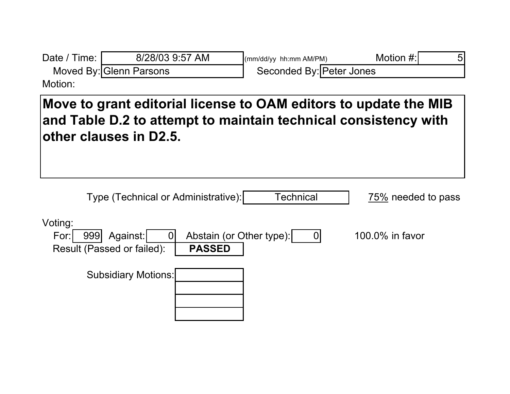| Date / Time: | 8/28/03 9:57 AM         | $\frac{1}{2}$ (mm/dd/yy hh:mm AM/PM) | Motion #: |  |
|--------------|-------------------------|--------------------------------------|-----------|--|
|              | Moved By: Glenn Parsons | Seconded By: Peter Jones             |           |  |
| Motion:      |                         |                                      |           |  |

**Move to grant editorial license to OAM editors to update the MIB and Table D.2 to attempt to maintain technical consistency with other clauses in D2.5.**

| Type (Technical or Administrative):                              |                                           | Technical | 75% needed to pass |
|------------------------------------------------------------------|-------------------------------------------|-----------|--------------------|
| Voting:<br>For:<br>Against:<br>999<br>Result (Passed or failed): | Abstain (or Other type):<br><b>PASSED</b> |           | 100.0% in favor    |
| <b>Subsidiary Motions:</b>                                       |                                           |           |                    |
|                                                                  |                                           |           |                    |
|                                                                  |                                           |           |                    |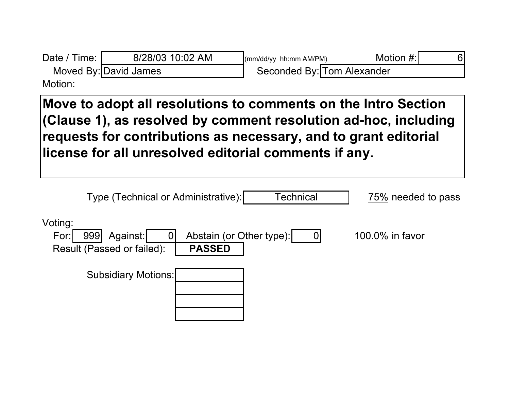| Date / Time: I | 8/28/03 10:02 AM      | $\frac{1}{2}$ (mm/dd/yy hh:mm AM/PM) | Motion #: |  |
|----------------|-----------------------|--------------------------------------|-----------|--|
|                | Moved By: David James | Seconded By: Tom Alexander           |           |  |
| Motion:        |                       |                                      |           |  |

**Move to adopt all resolutions to comments on the Intro Section (Clause 1), as resolved by comment resolution ad-hoc, including requests for contributions as necessary, and to grant editorial license for all unresolved editorial comments if any.**

| Type (Technical or Administrative):                                     |                                           | Technical      | 75% needed to pass |
|-------------------------------------------------------------------------|-------------------------------------------|----------------|--------------------|
| Voting:<br>Against:<br>For:<br>999<br> 0 <br>Result (Passed or failed): | Abstain (or Other type):<br><b>PASSED</b> | $\overline{0}$ | 100.0% in favor    |
| <b>Subsidiary Motions:</b>                                              |                                           |                |                    |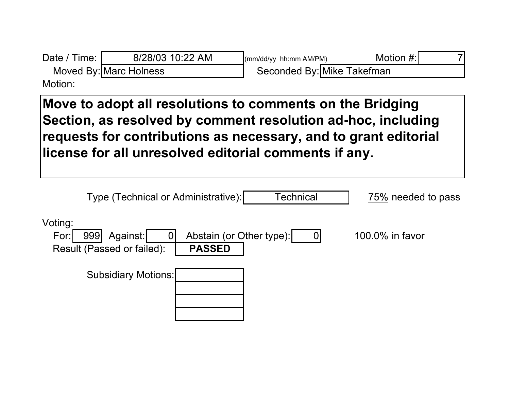| Date / Time: I | 8/28/03 10:22 AM       | $\frac{1}{2}$ (mm/dd/yy hh:mm AM/PM) | Motion #: |  |
|----------------|------------------------|--------------------------------------|-----------|--|
|                | Moved By: Marc Holness | Seconded By: Mike Takefman           |           |  |
| Motion:        |                        |                                      |           |  |

**Move to adopt all resolutions to comments on the Bridging Section, as resolved by comment resolution ad-hoc, including requests for contributions as necessary, and to grant editorial license for all unresolved editorial comments if any.**

| Type (Technical or Administrative):                              |                                           | <b>Technical</b> | 75% needed to pass                |
|------------------------------------------------------------------|-------------------------------------------|------------------|-----------------------------------|
| Voting:<br>Against:<br>For:<br>999<br>Result (Passed or failed): | Abstain (or Other type):<br><b>PASSED</b> |                  | 100.0% in favor<br>$\overline{0}$ |
| <b>Subsidiary Motions:</b>                                       |                                           |                  |                                   |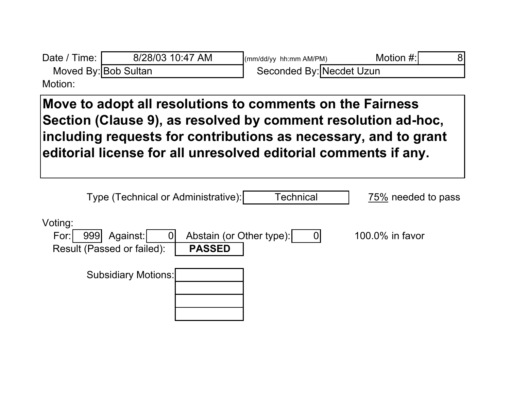| Date / Time:<br>Moved By: Bob Sultan | 8/28/03 10:47 AM                                                                                                                                                                                                                                                 | (mm/dd/yy hh:mm AM/PM)<br>Seconded By: Necdet Uzun | Motion #:<br>8     |
|--------------------------------------|------------------------------------------------------------------------------------------------------------------------------------------------------------------------------------------------------------------------------------------------------------------|----------------------------------------------------|--------------------|
| Motion:                              |                                                                                                                                                                                                                                                                  |                                                    |                    |
|                                      | Move to adopt all resolutions to comments on the Fairness<br>Section (Clause 9), as resolved by comment resolution ad-hoc,<br>including requests for contributions as necessary, and to grant<br>editorial license for all unresolved editorial comments if any. |                                                    |                    |
|                                      | Type (Technical or Administrative):                                                                                                                                                                                                                              | Technical                                          | 75% needed to pass |
| Voting:<br>999<br>For:               | Against:<br>$\Omega$<br>Result (Passed or failed):<br><b>PASSED</b>                                                                                                                                                                                              | Abstain (or Other type):<br>$\mathbf 0$            | 100.0% in favor    |
|                                      | <b>Subsidiary Motions:</b>                                                                                                                                                                                                                                       |                                                    |                    |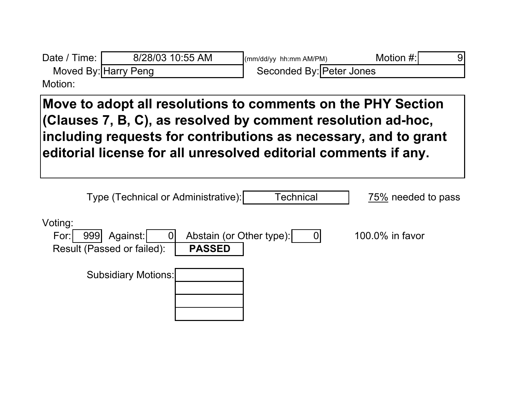| Date / Time:<br>Moved By: Harry Peng                                                                                                                                                                                                                               | 8/28/03 10:55 AM                                                                    | (mm/dd/yy hh:mm AM/PM)<br>Seconded By: Peter Jones | Motion #:<br>9     |  |
|--------------------------------------------------------------------------------------------------------------------------------------------------------------------------------------------------------------------------------------------------------------------|-------------------------------------------------------------------------------------|----------------------------------------------------|--------------------|--|
| Motion:                                                                                                                                                                                                                                                            |                                                                                     |                                                    |                    |  |
| Move to adopt all resolutions to comments on the PHY Section<br>(Clauses 7, B, C), as resolved by comment resolution ad-hoc,<br>including requests for contributions as necessary, and to grant<br>editorial license for all unresolved editorial comments if any. |                                                                                     |                                                    |                    |  |
|                                                                                                                                                                                                                                                                    | Type (Technical or Administrative):                                                 | Technical                                          | 75% needed to pass |  |
| Voting:<br>For:<br>999                                                                                                                                                                                                                                             | Abstain (or Other type):<br>Against:<br>Result (Passed or failed):<br><b>PASSED</b> | $\overline{0}$                                     | $100.0\%$ in favor |  |

٦

Subsidiary Motions: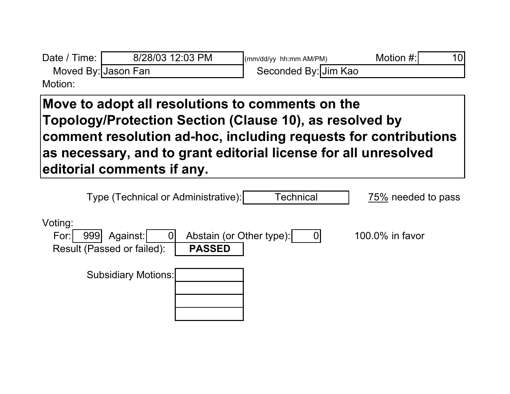| Date / Time:       | 8/28/03 12:03 PM    | $\frac{1}{2}$ (mm/dd/yy hh:mm AM/PM) | Motion $#$ : | 10l |
|--------------------|---------------------|--------------------------------------|--------------|-----|
|                    | Moved By: Jason Fan | Seconded By: Jim Kao                 |              |     |
| M <sub>ofion</sub> |                     |                                      |              |     |

Motion:

**Move to adopt all resolutions to comments on the Topology/Protection Section (Clause 10), as resolved by comment resolution ad-hoc, including requests for contributions as necessary, and to grant editorial license for all unresolved editorial comments if any.**

| Type (Technical or Administrative):                                   |                                           | Technical | 75% needed to pass |
|-----------------------------------------------------------------------|-------------------------------------------|-----------|--------------------|
| Voting:<br>Against:<br>For:<br>999<br>U<br>Result (Passed or failed): | Abstain (or Other type):<br><b>PASSED</b> |           | 100.0% in favor    |
| <b>Subsidiary Motions:</b>                                            |                                           |           |                    |
|                                                                       |                                           |           |                    |
|                                                                       |                                           |           |                    |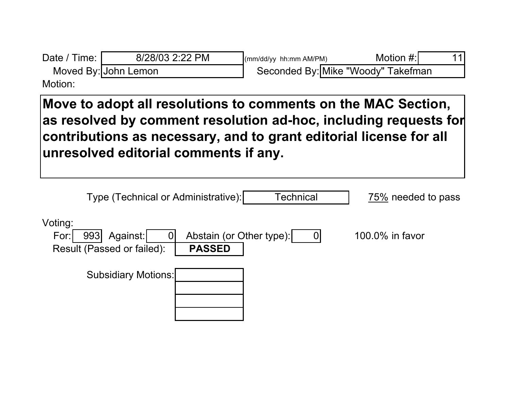| Date / Time: I | 8/28/03 2:22 PM      | $\frac{1}{2}$ (mm/dd/yy hh:mm AM/PM) | Motion #: |  |
|----------------|----------------------|--------------------------------------|-----------|--|
|                | Moved By: John Lemon | Seconded By: Mike "Woody" Takefman   |           |  |
| Motion:        |                      |                                      |           |  |

**Move to adopt all resolutions to comments on the MAC Section, as resolved by comment resolution ad-hoc, including requests for contributions as necessary, and to grant editorial license for all unresolved editorial comments if any.**

| Type (Technical or Administrative):                              | <b>Technical</b>                          | 75% needed to pass |
|------------------------------------------------------------------|-------------------------------------------|--------------------|
| Voting:<br>Against:<br>For:<br>993<br>Result (Passed or failed): | Abstain (or Other type):<br><b>PASSED</b> | 100.0% in favor    |
| <b>Subsidiary Motions:</b>                                       |                                           |                    |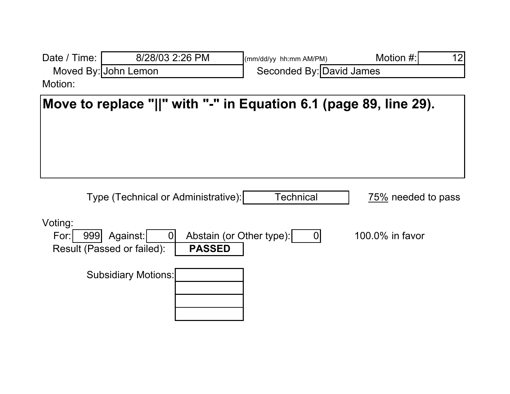| Date / Time:                                                      | 8/28/03 2:26 PM                                              | (mm/dd/yy hh:mm AM/PM)         | Motion #:<br>12    |  |
|-------------------------------------------------------------------|--------------------------------------------------------------|--------------------------------|--------------------|--|
|                                                                   | Moved By: John Lemon                                         | Seconded By: David James       |                    |  |
| Motion:                                                           |                                                              |                                |                    |  |
| Move to replace "  " with "-" in Equation 6.1 (page 89, line 29). |                                                              |                                |                    |  |
|                                                                   | Type (Technical or Administrative):                          | <b>Technical</b>               | 75% needed to pass |  |
| Voting:<br>999<br>For:                                            | Against:<br>0<br>Result (Passed or failed):<br><b>PASSED</b> | Abstain (or Other type):<br> 0 | 100.0% in favor    |  |
|                                                                   | <b>Subsidiary Motions:</b>                                   |                                |                    |  |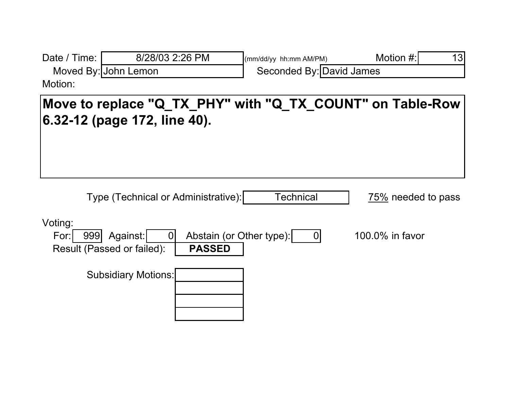| Date / Time:           | 8/28/03 2:26 PM                                           | (mm/dd/yy hh:mm AM/PM)   | Motion #:<br>13    |
|------------------------|-----------------------------------------------------------|--------------------------|--------------------|
|                        | Moved By: John Lemon                                      | Seconded By: David James |                    |
| Motion:                |                                                           |                          |                    |
|                        | Move to replace "Q_TX_PHY" with "Q_TX_COUNT" on Table-Row |                          |                    |
|                        | 6.32-12 (page 172, line 40).                              |                          |                    |
|                        |                                                           |                          |                    |
|                        |                                                           |                          |                    |
|                        |                                                           |                          |                    |
|                        |                                                           |                          |                    |
|                        | Type (Technical or Administrative):                       | <b>Technical</b>         | 75% needed to pass |
|                        |                                                           |                          |                    |
| Voting:<br>999<br>For: | Abstain (or Other type):<br>Against:<br>$\Omega$          | $\overline{0}$           | 100.0% in favor    |
|                        | <b>PASSED</b><br>Result (Passed or failed):               |                          |                    |
|                        |                                                           |                          |                    |
|                        | <b>Subsidiary Motions:</b>                                |                          |                    |
|                        |                                                           |                          |                    |
|                        |                                                           |                          |                    |
|                        |                                                           |                          |                    |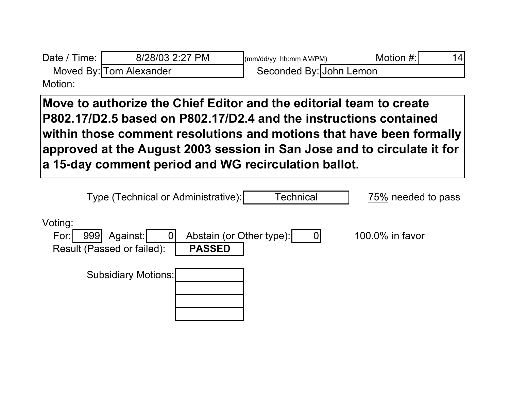| Date / Time: I          | 8/28/03 2:27 PM | (mm/dd/yy hh:mm AM/PM)  | Motion #:) | 141 |
|-------------------------|-----------------|-------------------------|------------|-----|
| Moved By: Tom Alexander |                 | Seconded By: John Lemon |            |     |
| $M \sim 45 \sim 2$      |                 |                         |            |     |

Motion:

**Move to authorize the Chief Editor and the editorial team to create P802.17/D2.5 based on P802.17/D2.4 and the instructions contained within those comment resolutions and motions that have been formally approved at the August 2003 session in San Jose and to circulate it for a 15-day comment period and WG recirculation ballot.**

| Type (Technical or Administrative):                                   | <b>Technical</b>                          | 75% needed to pass |
|-----------------------------------------------------------------------|-------------------------------------------|--------------------|
| Voting:<br>Against:<br>For:<br>999<br>U<br>Result (Passed or failed): | Abstain (or Other type):<br><b>PASSED</b> | 100.0% in favor    |
| <b>Subsidiary Motions:</b>                                            |                                           |                    |
|                                                                       |                                           |                    |